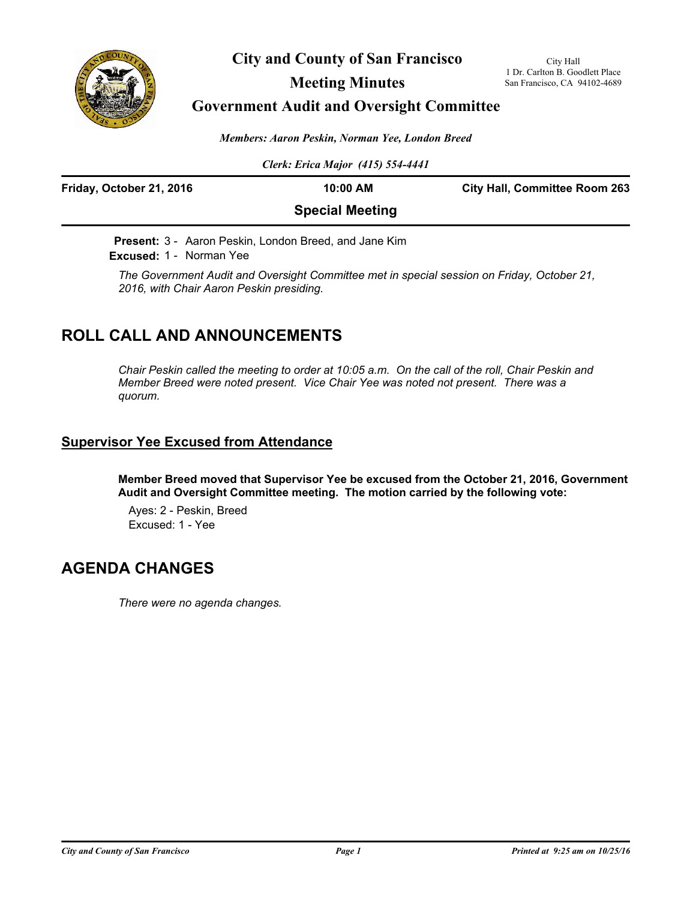

**City and County of San Francisco**

## **Meeting Minutes**

## **Government Audit and Oversight Committee**

*Members: Aaron Peskin, Norman Yee, London Breed*

*Clerk: Erica Major (415) 554-4441*

| Friday, October 21, 2016 | 10:00 AM               | <b>City Hall, Committee Room 263</b> |
|--------------------------|------------------------|--------------------------------------|
|                          | <b>Special Meeting</b> |                                      |

**Present:** 3 - Aaron Peskin, London Breed, and Jane Kim **Excused:** 1 - Norman Yee

*The Government Audit and Oversight Committee met in special session on Friday, October 21, 2016, with Chair Aaron Peskin presiding.*

# **ROLL CALL AND ANNOUNCEMENTS**

*Chair Peskin called the meeting to order at 10:05 a.m. On the call of the roll, Chair Peskin and Member Breed were noted present. Vice Chair Yee was noted not present. There was a quorum.*

## **Supervisor Yee Excused from Attendance**

**Member Breed moved that Supervisor Yee be excused from the October 21, 2016, Government Audit and Oversight Committee meeting. The motion carried by the following vote:**

Ayes: 2 - Peskin, Breed Excused: 1 - Yee

# **AGENDA CHANGES**

*There were no agenda changes.*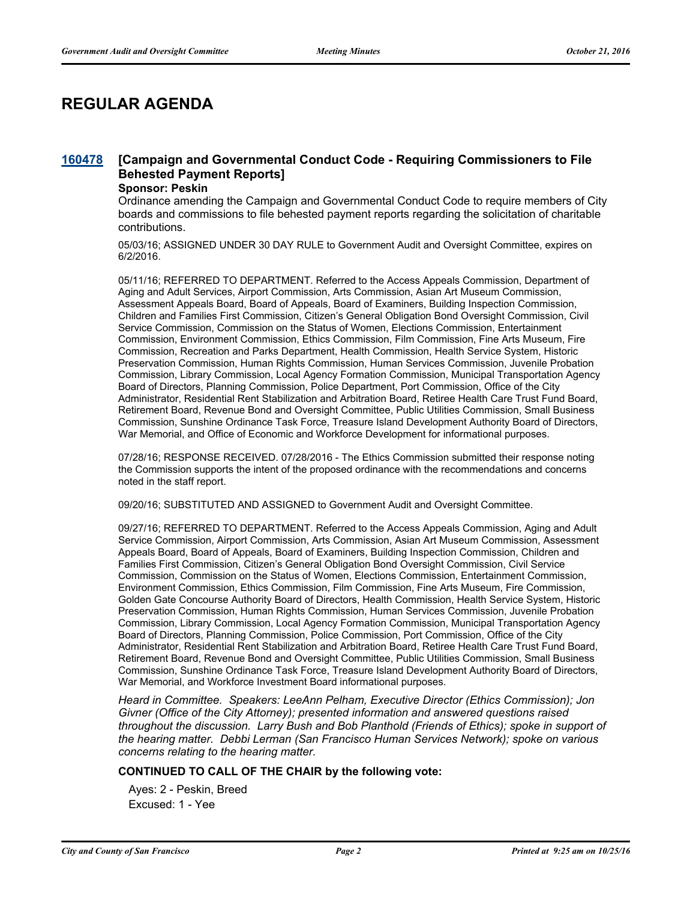# **REGULAR AGENDA**

#### **[Campaign and Governmental Conduct Code - Requiring Commissioners to File Behested Payment Reports] [160478](http://sfgov.legistar.com/gateway.aspx?m=l&id=30683)**

### **Sponsor: Peskin**

Ordinance amending the Campaign and Governmental Conduct Code to require members of City boards and commissions to file behested payment reports regarding the solicitation of charitable contributions.

05/03/16; ASSIGNED UNDER 30 DAY RULE to Government Audit and Oversight Committee, expires on 6/2/2016.

05/11/16; REFERRED TO DEPARTMENT. Referred to the Access Appeals Commission, Department of Aging and Adult Services, Airport Commission, Arts Commission, Asian Art Museum Commission, Assessment Appeals Board, Board of Appeals, Board of Examiners, Building Inspection Commission, Children and Families First Commission, Citizen's General Obligation Bond Oversight Commission, Civil Service Commission, Commission on the Status of Women, Elections Commission, Entertainment Commission, Environment Commission, Ethics Commission, Film Commission, Fine Arts Museum, Fire Commission, Recreation and Parks Department, Health Commission, Health Service System, Historic Preservation Commission, Human Rights Commission, Human Services Commission, Juvenile Probation Commission, Library Commission, Local Agency Formation Commission, Municipal Transportation Agency Board of Directors, Planning Commission, Police Department, Port Commission, Office of the City Administrator, Residential Rent Stabilization and Arbitration Board, Retiree Health Care Trust Fund Board, Retirement Board, Revenue Bond and Oversight Committee, Public Utilities Commission, Small Business Commission, Sunshine Ordinance Task Force, Treasure Island Development Authority Board of Directors, War Memorial, and Office of Economic and Workforce Development for informational purposes.

07/28/16; RESPONSE RECEIVED. 07/28/2016 - The Ethics Commission submitted their response noting the Commission supports the intent of the proposed ordinance with the recommendations and concerns noted in the staff report.

09/20/16; SUBSTITUTED AND ASSIGNED to Government Audit and Oversight Committee.

09/27/16; REFERRED TO DEPARTMENT. Referred to the Access Appeals Commission, Aging and Adult Service Commission, Airport Commission, Arts Commission, Asian Art Museum Commission, Assessment Appeals Board, Board of Appeals, Board of Examiners, Building Inspection Commission, Children and Families First Commission, Citizen's General Obligation Bond Oversight Commission, Civil Service Commission, Commission on the Status of Women, Elections Commission, Entertainment Commission, Environment Commission, Ethics Commission, Film Commission, Fine Arts Museum, Fire Commission, Golden Gate Concourse Authority Board of Directors, Health Commission, Health Service System, Historic Preservation Commission, Human Rights Commission, Human Services Commission, Juvenile Probation Commission, Library Commission, Local Agency Formation Commission, Municipal Transportation Agency Board of Directors, Planning Commission, Police Commission, Port Commission, Office of the City Administrator, Residential Rent Stabilization and Arbitration Board, Retiree Health Care Trust Fund Board, Retirement Board, Revenue Bond and Oversight Committee, Public Utilities Commission, Small Business Commission, Sunshine Ordinance Task Force, Treasure Island Development Authority Board of Directors, War Memorial, and Workforce Investment Board informational purposes.

*Heard in Committee. Speakers: LeeAnn Pelham, Executive Director (Ethics Commission); Jon Givner (Office of the City Attorney); presented information and answered questions raised throughout the discussion. Larry Bush and Bob Planthold (Friends of Ethics); spoke in support of the hearing matter. Debbi Lerman (San Francisco Human Services Network); spoke on various concerns relating to the hearing matter.*

### **CONTINUED TO CALL OF THE CHAIR by the following vote:**

Ayes: 2 - Peskin, Breed Excused: 1 - Yee